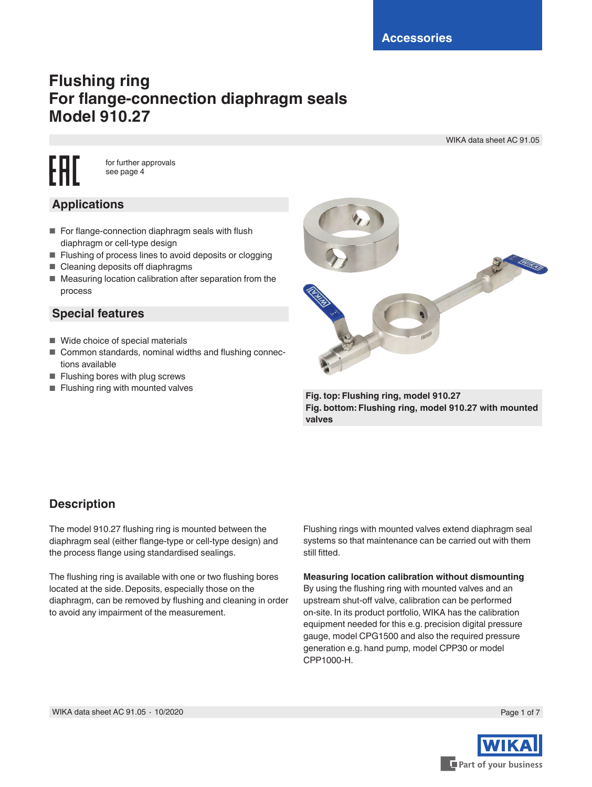# **Flushing ring For flange-connection diaphragm seals Model 910.27**

WIKA data sheet AC 91.05

FAI for further approvals see page 4

## **Applications**

- For flange-connection diaphragm seals with flush diaphragm or cell-type design
- Flushing of process lines to avoid deposits or clogging
- Cleaning deposits off diaphragms
- Measuring location calibration after separation from the process

### **Special features**

- Wide choice of special materials
- Common standards, nominal widths and flushing connections available
- Flushing bores with plug screws
- Flushing ring with mounted valves **Fig. top: Flushing ring, model 910.27**



**Fig. bottom: Flushing ring, model 910.27 with mounted valves**

## **Description**

The model 910.27 flushing ring is mounted between the diaphragm seal (either flange-type or cell-type design) and the process flange using standardised sealings.

The flushing ring is available with one or two flushing bores located at the side. Deposits, especially those on the diaphragm, can be removed by flushing and cleaning in order to avoid any impairment of the measurement.

Flushing rings with mounted valves extend diaphragm seal systems so that maintenance can be carried out with them still fitted.

**Measuring location calibration without dismounting** By using the flushing ring with mounted valves and an upstream shut-off valve, calibration can be performed on-site. In its product portfolio, WIKA has the calibration equipment needed for this e.g. precision digital pressure gauge, model CPG1500 and also the required pressure generation e.g. hand pump, model CPP30 or model CPP1000-H.



Part of your business

Page 1 of 7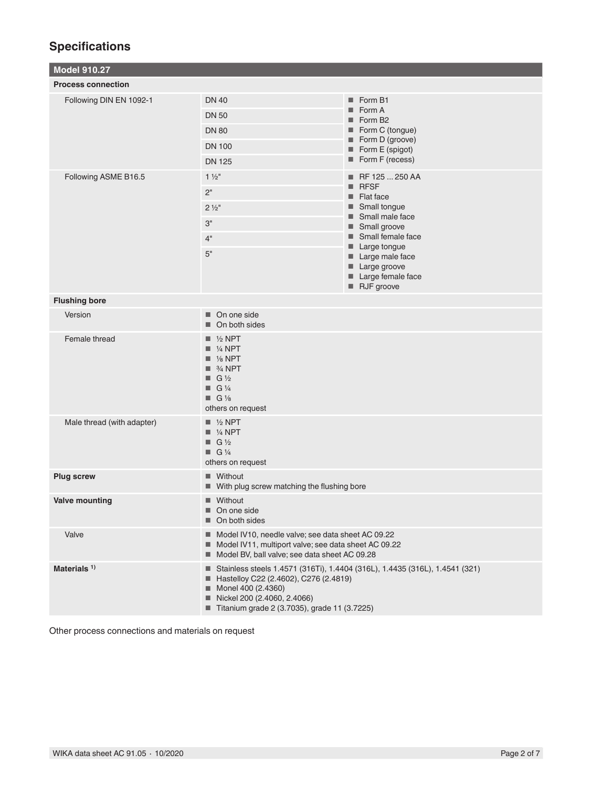## **Specifications**

| <b>Model 910.27</b>        |                                                                                                                                                                                                                             |                                                                                                                                                                                                                                                                |  |  |
|----------------------------|-----------------------------------------------------------------------------------------------------------------------------------------------------------------------------------------------------------------------------|----------------------------------------------------------------------------------------------------------------------------------------------------------------------------------------------------------------------------------------------------------------|--|--|
| <b>Process connection</b>  |                                                                                                                                                                                                                             |                                                                                                                                                                                                                                                                |  |  |
| Following DIN EN 1092-1    | <b>DN 40</b><br><b>DN 50</b><br><b>DN 80</b><br><b>DN 100</b><br><b>DN 125</b>                                                                                                                                              | Form B1<br>Form A<br>٠<br>Form B <sub>2</sub><br>■ Form C (tongue)<br>Form D (groove)<br>Form E (spigot)<br>Form F (recess)                                                                                                                                    |  |  |
| Following ASME B16.5       | $1\frac{1}{2}$ "<br>2 <sup>''</sup><br>$2\frac{1}{2}$ "<br>3"<br>4"<br>5"                                                                                                                                                   | ■ RF 125  250 AA<br><b>RFSF</b><br>٠<br>$\blacksquare$ Flat face<br>$\blacksquare$ Small tonque<br>Small male face<br>■ Small groove<br>Small female face<br>$\blacksquare$ Large tongue<br>Large male face<br>Large groove<br>Large female face<br>RJF groove |  |  |
| <b>Flushing bore</b>       |                                                                                                                                                                                                                             |                                                                                                                                                                                                                                                                |  |  |
| Version                    | On one side<br>On both sides                                                                                                                                                                                                |                                                                                                                                                                                                                                                                |  |  |
| Female thread              | $\blacksquare$ 1/2 NPT<br>$\blacksquare$ 1/4 NPT<br>$\blacksquare$ % NPT<br>$\blacksquare$ 3/4 NPT<br>$\blacksquare$ G 1/2<br>$\blacksquare$ G 1/4<br>$\blacksquare$ G 1/8<br>others on request                             |                                                                                                                                                                                                                                                                |  |  |
| Male thread (with adapter) | $\blacksquare$ 1/2 NPT<br>$\blacksquare$ % NPT<br>$\blacksquare$ G 1/2<br>$\blacksquare$ G 1/4<br>others on request                                                                                                         |                                                                                                                                                                                                                                                                |  |  |
| <b>Plug screw</b>          | ■ Without<br>■ With plug screw matching the flushing bore                                                                                                                                                                   |                                                                                                                                                                                                                                                                |  |  |
| <b>Valve mounting</b>      | ■ Without<br>٠<br>On one side<br>On both sides                                                                                                                                                                              |                                                                                                                                                                                                                                                                |  |  |
| Valve                      | Model IV10, needle valve; see data sheet AC 09.22<br>Model IV11, multiport valve; see data sheet AC 09.22<br>Model BV, ball valve; see data sheet AC 09.28                                                                  |                                                                                                                                                                                                                                                                |  |  |
| Materials <sup>1)</sup>    | ■ Stainless steels 1.4571 (316Ti), 1.4404 (316L), 1.4435 (316L), 1.4541 (321)<br>Hastelloy C22 (2.4602), C276 (2.4819)<br>Monel 400 (2.4360)<br>Nickel 200 (2.4060, 2.4066)<br>Titanium grade 2 (3.7035), grade 11 (3.7225) |                                                                                                                                                                                                                                                                |  |  |

Other process connections and materials on request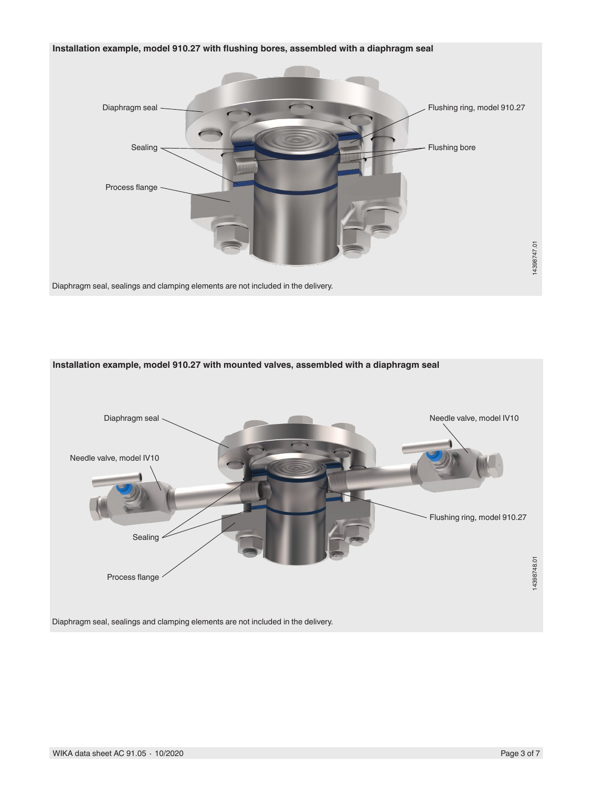





WIKA data sheet AC 91.05 ⋅ 10/2020 Page 3 of 7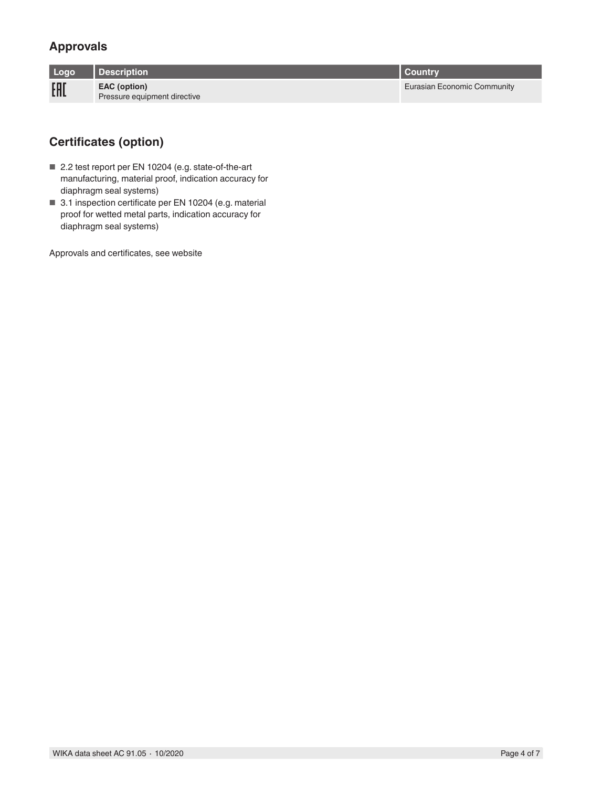## **Approvals**

| Logo | <b>Description</b>                           | I Countrv                   |
|------|----------------------------------------------|-----------------------------|
| EAL  | EAC (option)<br>Pressure equipment directive | Eurasian Economic Community |

## **Certificates (option)**

- 2.2 test report per EN 10204 (e.g. state-of-the-art manufacturing, material proof, indication accuracy for diaphragm seal systems)
- 3.1 inspection certificate per EN 10204 (e.g. material proof for wetted metal parts, indication accuracy for diaphragm seal systems)

Approvals and certificates, see website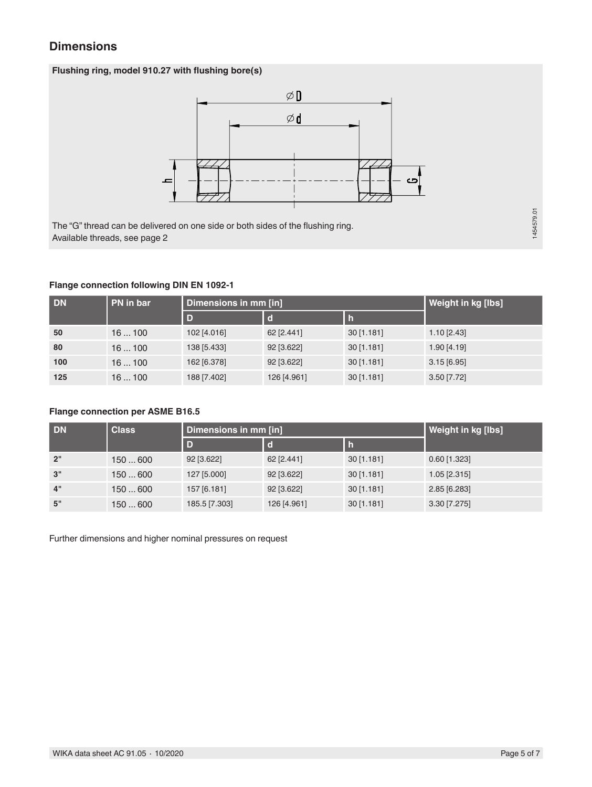### **Dimensions**

### **Flushing ring, model 910.27 with flushing bore(s)**



The "G" thread can be delivered on one side or both sides of the flushing ring. Available threads, see page 2

## 1454579.01 1454579.01

### **Flange connection following DIN EN 1092-1**

| <b>DN</b> | PN in bar | Dimensions in mm [in] | Weight in kg [lbs] |              |               |
|-----------|-----------|-----------------------|--------------------|--------------|---------------|
|           |           | D                     |                    |              |               |
| 50        | 16100     | 102 [4.016]           | 62 [2.441]         | 30[1.181]    | $1.10$ [2.43] |
| 80        | 16100     | 138 [5.433]           | 92 [3.622]         | $30$ [1.181] | $1.90$ [4.19] |
| 100       | 16100     | 162 [6.378]           | 92 [3.622]         | 30[1.181]    | $3.15$ [6.95] |
| 125       | 16100     | 188 [7.402]           | 126 [4.961]        | 30[1.181]    | $3.50$ [7.72] |

### **Flange connection per ASME B16.5**

| <b>DN</b> | <b>Class</b> | Dimensions in mm [in] | <b>Weight in kg [lbs]</b> |            |                |
|-----------|--------------|-----------------------|---------------------------|------------|----------------|
|           |              | D                     |                           |            |                |
| 2"        | 150600       | 92 [3.622]            | 62 [2.441]                | 30[1.181]  | $0.60$ [1.323] |
| 3"        | 150600       | 127 [5.000]           | 92 [3.622]                | 30[1.181]  | $1.05$ [2.315] |
| 4"        | 150600       | 157 [6.181]           | 92 [3.622]                | 30[1.181]  | 2.85 [6.283]   |
| 5"        | 150600       | 185.5 [7.303]         | 126 [4.961]               | 30 [1.181] | 3.30 [7.275]   |

Further dimensions and higher nominal pressures on request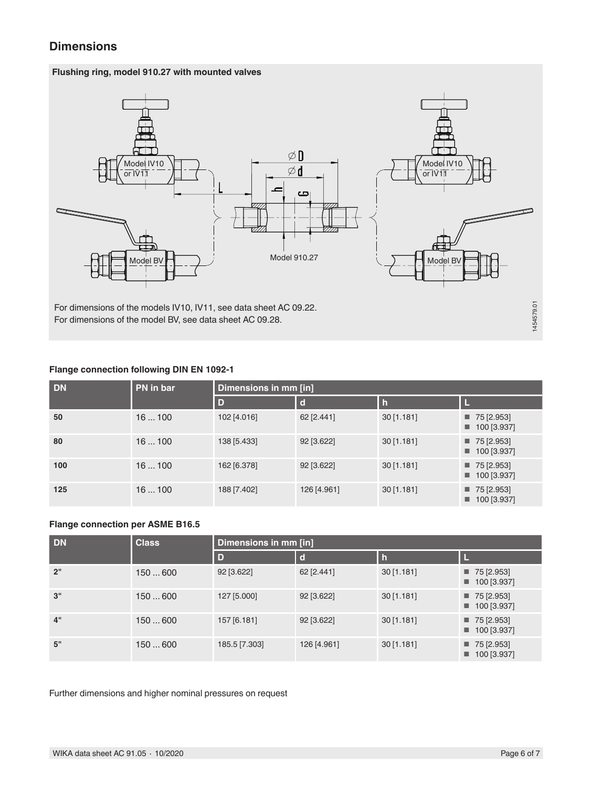### **Dimensions**

### **Flushing ring, model 910.27 with mounted valves**



For dimensions of the models IV10, IV11, see data sheet AC 09.22. For dimensions of the model BV, see data sheet AC 09.28.

#### **Flange connection following DIN EN 1092-1**

| <b>DN</b> | PN in bar | Dimensions in mm [in] |             |              |                                                         |  |
|-----------|-----------|-----------------------|-------------|--------------|---------------------------------------------------------|--|
|           |           | D                     | <b>d</b>    |              |                                                         |  |
| 50        | 16100     | 102 [4.016]           | 62 [2.441]  | $30$ [1.181] | $\blacksquare$ 75 [2.953]<br>$\blacksquare$ 100 [3.937] |  |
| 80        | 16100     | 138 [5.433]           | 92 [3.622]  | $30$ [1.181] | $\blacksquare$ 75 [2.953]<br>$100$ [3.937]              |  |
| 100       | 16100     | 162 [6.378]           | 92 [3.622]  | $30$ [1.181] | $\blacksquare$ 75 [2.953]<br>$\blacksquare$ 100 [3.937] |  |
| 125       | 16100     | 188 [7.402]           | 126 [4.961] | $30$ [1.181] | $\blacksquare$ 75 [2.953]<br>$\blacksquare$ 100 [3.937] |  |

#### **Flange connection per ASME B16.5**

| <b>DN</b> | <b>Class</b> | Dimensions in mm [in] |             |              |                                                         |  |
|-----------|--------------|-----------------------|-------------|--------------|---------------------------------------------------------|--|
|           |              | $\overline{D}$        | $\mathbf d$ | l h          |                                                         |  |
| 2"        | 150600       | 92 [3.622]            | 62 [2.441]  | 30[1.181]    | $\blacksquare$ 75 [2.953]<br>$\blacksquare$ 100 [3.937] |  |
| 3"        | 150600       | 127 [5.000]           | 92 [3.622]  | $30$ [1.181] | $\blacksquare$ 75 [2.953]<br>$\blacksquare$ 100 [3.937] |  |
| 4"        | 150600       | 157 [6.181]           | 92 [3.622]  | $30$ [1.181] | $\blacksquare$ 75 [2.953]<br>$\blacksquare$ 100 [3.937] |  |
| 5"        | 150600       | 185.5 [7.303]         | 126 [4.961] | 30[1.181]    | $\blacksquare$ 75 [2.953]<br>$\blacksquare$ 100 [3.937] |  |

Further dimensions and higher nominal pressures on request

1454579.01